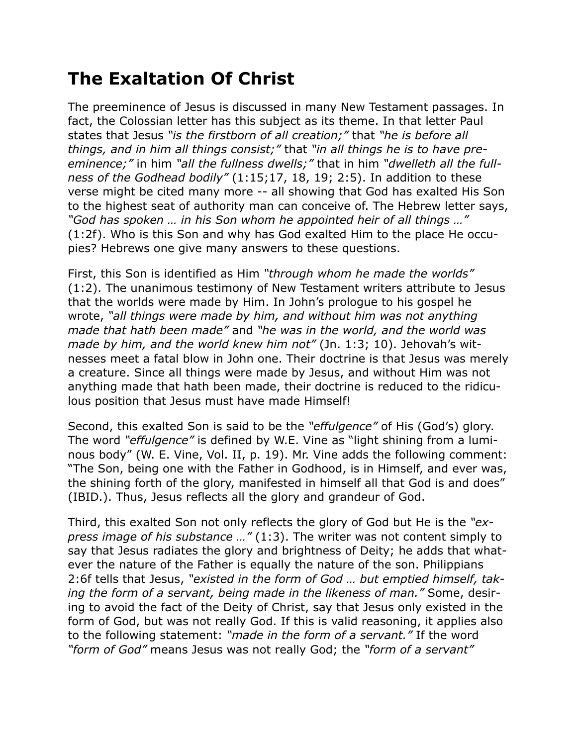## **The Exaltation Of Christ**

The preeminence of Jesus is discussed in many New Testament passages. In fact, the Colossian letter has this subject as its theme. In that letter Paul states that Jesus *"is the firstborn of all creation;"* that *"he is before all things, and in him all things consist;"* that *"in all things he is to have preeminence;"* in him *"all the fullness dwells;"* that in him *"dwelleth all the fullness of the Godhead bodily"* (1:15;17, 18, 19; 2:5). In addition to these verse might be cited many more -- all showing that God has exalted His Son to the highest seat of authority man can conceive of. The Hebrew letter says, *"God has spoken … in his Son whom he appointed heir of all things …"* (1:2f). Who is this Son and why has God exalted Him to the place He occupies? Hebrews one give many answers to these questions.

First, this Son is identified as Him *"through whom he made the worlds"* (1:2). The unanimous testimony of New Testament writers attribute to Jesus that the worlds were made by Him. In John's prologue to his gospel he wrote, *"all things were made by him, and without him was not anything made that hath been made"* and *"he was in the world, and the world was made by him, and the world knew him not"* (Jn. 1:3; 10). Jehovah's witnesses meet a fatal blow in John one. Their doctrine is that Jesus was merely a creature. Since all things were made by Jesus, and without Him was not anything made that hath been made, their doctrine is reduced to the ridiculous position that Jesus must have made Himself!

Second, this exalted Son is said to be the *"effulgence"* of His (God's) glory. The word *"effulgence"* is defined by W.E. Vine as "light shining from a luminous body" (W. E. Vine, Vol. II, p. 19). Mr. Vine adds the following comment: "The Son, being one with the Father in Godhood, is in Himself, and ever was, the shining forth of the glory, manifested in himself all that God is and does" (IBID.). Thus, Jesus reflects all the glory and grandeur of God.

Third, this exalted Son not only reflects the glory of God but He is the *"express image of his substance …"* (1:3). The writer was not content simply to say that Jesus radiates the glory and brightness of Deity; he adds that whatever the nature of the Father is equally the nature of the son. Philippians 2:6f tells that Jesus, *"existed in the form of God … but emptied himself, taking the form of a servant, being made in the likeness of man."* Some, desiring to avoid the fact of the Deity of Christ, say that Jesus only existed in the form of God, but was not really God. If this is valid reasoning, it applies also to the following statement: *"made in the form of a servant."* If the word *"form of God"* means Jesus was not really God; the *"form of a servant"*